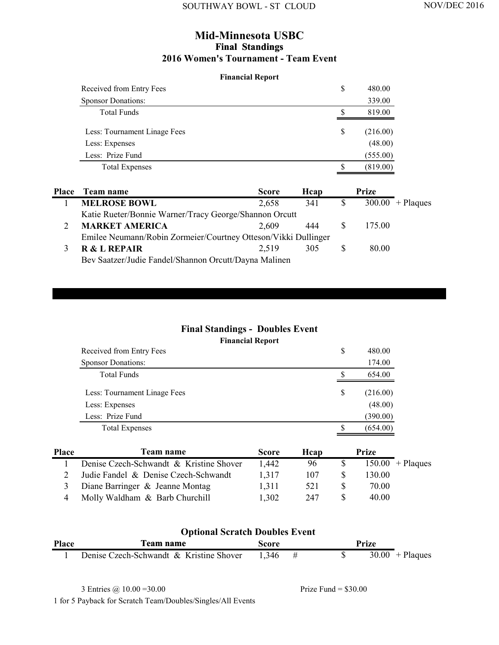#### **Mid-Minnesota USBC Final Standings 2016 Women's Tournament - Team Event**

#### **Financial Report**

| Received from Entry Fees     | S | 480.00   |
|------------------------------|---|----------|
| <b>Sponsor Donations:</b>    |   | 339.00   |
| <b>Total Funds</b>           |   | 819.00   |
| Less: Tournament Linage Fees | S | (216.00) |
| Less: Expenses               |   | (48.00)  |
| Less: Prize Fund             |   | (555.00) |
| <b>Total Expenses</b>        |   | (819.00) |

| <b>Place</b> | Team name                                                      | <b>Score</b> | Heap | Prize  |                    |
|--------------|----------------------------------------------------------------|--------------|------|--------|--------------------|
|              | <b>MELROSE BOWL</b>                                            | 2,658        | 341  |        | $300.00 +$ Plaques |
|              | Katie Rueter/Bonnie Warner/Tracy George/Shannon Orcutt         |              |      |        |                    |
|              | <b>MARKET AMERICA</b>                                          | 2.609        | 444  | 175.00 |                    |
|              | Emilee Neumann/Robin Zormeier/Courtney Otteson/Vikki Dullinger |              |      |        |                    |
|              | <b>R &amp; L REPAIR</b>                                        | 2.519        | 305  | 80.00  |                    |
|              | Bev Saatzer/Judie Fandel/Shannon Orcutt/Dayna Malinen          |              |      |        |                    |

## **Final Standings - Doubles Event**

#### **Financial Report**

| Received from Entry Fees     | S  | 480.00   |
|------------------------------|----|----------|
| <b>Sponsor Donations:</b>    |    | 174.00   |
| <b>Total Funds</b>           |    | 654.00   |
| Less: Tournament Linage Fees | \$ | (216.00) |
| Less: Expenses               |    | (48.00)  |
| Less: Prize Fund             |    | (390.00) |
| <b>Total Expenses</b>        |    | (654.00) |

| <b>Place</b> | Team name                               | <b>Score</b> | Hcap | Prize  |                    |
|--------------|-----------------------------------------|--------------|------|--------|--------------------|
|              | Denise Czech-Schwandt & Kristine Shover | 1.442        | 96   |        | $150.00 +$ Plaques |
|              | Judie Fandel & Denise Czech-Schwandt    | 1.317        | 107  | 130.00 |                    |
|              | Diane Barringer & Jeanne Montag         | 1.311        | 521  | 70.00  |                    |
|              | Molly Waldham & Barb Churchill          | 1,302        | 247  | 40.00  |                    |

#### **Place Score Prize** 1 Denise Czech-Schwandt & Kristine Shover  $1,346$  #  $\qquad$  \$  $30.00$  + Plaques **Optional Scratch Doubles Event**

3 Entries @ 10.00 =30.00 Prize Fund = \$30.00

1 for 5 Payback for Scratch Team/Doubles/Singles/All Events